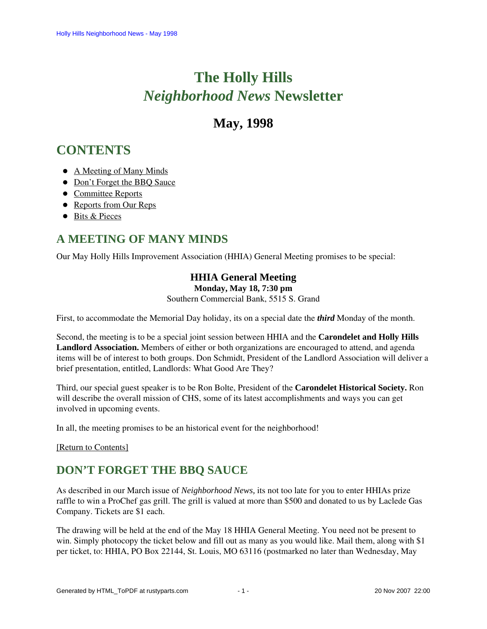# **The Holly Hills**  *Neighborhood News* **Newsletter**

# **May, 1998**

# <span id="page-0-2"></span>**CONTENTS**

- [A Meeting of Many Minds](#page-0-0)
- [Don't Forget the BBQ Sauce](#page-0-1)
- [Committee Reports](#page-1-0)
- [Reports from Our Reps](#page-2-0)
- [Bits & Pieces](#page-3-0)

# <span id="page-0-0"></span>**A MEETING OF MANY MINDS**

Our May Holly Hills Improvement Association (HHIA) General Meeting promises to be special:

# **HHIA General Meeting**

**Monday, May 18, 7:30 pm**

Southern Commercial Bank, 5515 S. Grand

First, to accommodate the Memorial Day holiday, its on a special date the *third* Monday of the month.

Second, the meeting is to be a special joint session between HHIA and the **Carondelet and Holly Hills Landlord Association.** Members of either or both organizations are encouraged to attend, and agenda items will be of interest to both groups. Don Schmidt, President of the Landlord Association will deliver a brief presentation, entitled, Landlords: What Good Are They?

Third, our special guest speaker is to be Ron Bolte, President of the **Carondelet Historical Society.** Ron will describe the overall mission of CHS, some of its latest accomplishments and ways you can get involved in upcoming events.

In all, the meeting promises to be an historical event for the neighborhood!

<span id="page-0-1"></span>[\[Return to Contents\]](#page-0-2)

# **DON'T FORGET THE BBQ SAUCE**

As described in our March issue of *Neighborhood News,* its not too late for you to enter HHIAs prize raffle to win a ProChef gas grill. The grill is valued at more than \$500 and donated to us by Laclede Gas Company. Tickets are \$1 each.

The drawing will be held at the end of the May 18 HHIA General Meeting. You need not be present to win. Simply photocopy the ticket below and fill out as many as you would like. Mail them, along with \$1 per ticket, to: HHIA, PO Box 22144, St. Louis, MO 63116 (postmarked no later than Wednesday, May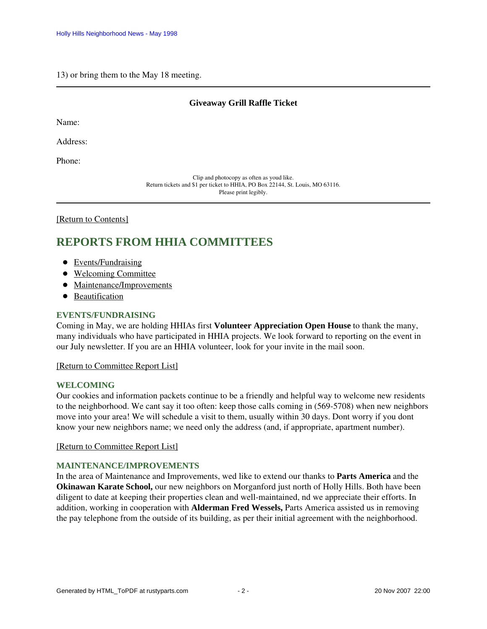#### 13) or bring them to the May 18 meeting.

#### **Giveaway Grill Raffle Ticket**

Name:

Address:

Phone:

Clip and photocopy as often as youd like. Return tickets and \$1 per ticket to HHIA, PO Box 22144, St. Louis, MO 63116. Please print legibly.

<span id="page-1-0"></span>[\[Return to Contents\]](#page-0-2)

# <span id="page-1-4"></span>**REPORTS FROM HHIA COMMITTEES**

- [Events/Fundraising](#page-1-1)
- [Welcoming Committee](#page-1-2)
- [Maintenance/Improvements](#page-1-3)
- [Beautification](#page-2-1)

#### <span id="page-1-1"></span>**EVENTS/FUNDRAISING**

Coming in May, we are holding HHIAs first **Volunteer Appreciation Open House** to thank the many, many individuals who have participated in HHIA projects. We look forward to reporting on the event in our July newsletter. If you are an HHIA volunteer, look for your invite in the mail soon.

#### [\[Return to Committee Report List\]](#page-1-4)

#### <span id="page-1-2"></span>**WELCOMING**

Our cookies and information packets continue to be a friendly and helpful way to welcome new residents to the neighborhood. We cant say it too often: keep those calls coming in (569-5708) when new neighbors move into your area! We will schedule a visit to them, usually within 30 days. Dont worry if you dont know your new neighbors name; we need only the address (and, if appropriate, apartment number).

[\[Return to Committee Report List\]](#page-1-4)

#### <span id="page-1-3"></span>**MAINTENANCE/IMPROVEMENTS**

In the area of Maintenance and Improvements, wed like to extend our thanks to **Parts America** and the **Okinawan Karate School,** our new neighbors on Morganford just north of Holly Hills. Both have been diligent to date at keeping their properties clean and well-maintained, nd we appreciate their efforts. In addition, working in cooperation with **Alderman Fred Wessels,** Parts America assisted us in removing the pay telephone from the outside of its building, as per their initial agreement with the neighborhood.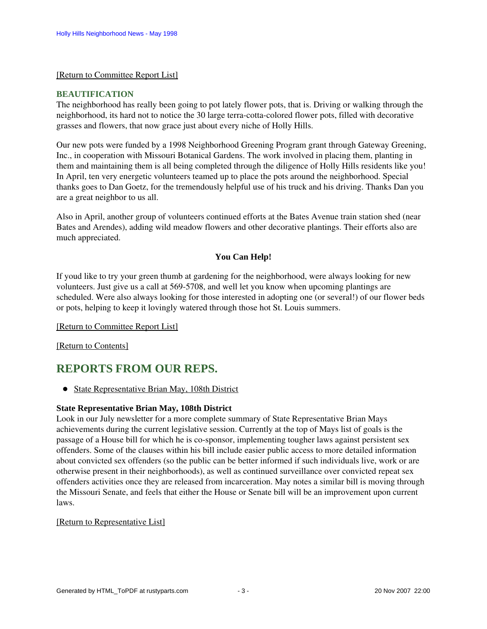### [\[Return to Committee Report List\]](#page-1-4)

#### <span id="page-2-1"></span>**BEAUTIFICATION**

The neighborhood has really been going to pot lately flower pots, that is. Driving or walking through the neighborhood, its hard not to notice the 30 large terra-cotta-colored flower pots, filled with decorative grasses and flowers, that now grace just about every niche of Holly Hills.

Our new pots were funded by a 1998 Neighborhood Greening Program grant through Gateway Greening, Inc., in cooperation with Missouri Botanical Gardens. The work involved in placing them, planting in them and maintaining them is all being completed through the diligence of Holly Hills residents like you! In April, ten very energetic volunteers teamed up to place the pots around the neighborhood. Special thanks goes to Dan Goetz, for the tremendously helpful use of his truck and his driving. Thanks Dan you are a great neighbor to us all.

Also in April, another group of volunteers continued efforts at the Bates Avenue train station shed (near Bates and Arendes), adding wild meadow flowers and other decorative plantings. Their efforts also are much appreciated.

## **You Can Help!**

If youd like to try your green thumb at gardening for the neighborhood, were always looking for new volunteers. Just give us a call at 569-5708, and well let you know when upcoming plantings are scheduled. Were also always looking for those interested in adopting one (or several!) of our flower beds or pots, helping to keep it lovingly watered through those hot St. Louis summers.

[\[Return to Committee Report List\]](#page-1-4)

[\[Return to Contents\]](#page-0-2)

# <span id="page-2-3"></span><span id="page-2-0"></span>**REPORTS FROM OUR REPS.**

• [State Representative Brian May, 108th District](#page-2-2)

### <span id="page-2-2"></span>**State Representative Brian May, 108th District**

Look in our July newsletter for a more complete summary of State Representative Brian Mays achievements during the current legislative session. Currently at the top of Mays list of goals is the passage of a House bill for which he is co-sponsor, implementing tougher laws against persistent sex offenders. Some of the clauses within his bill include easier public access to more detailed information about convicted sex offenders (so the public can be better informed if such individuals live, work or are otherwise present in their neighborhoods), as well as continued surveillance over convicted repeat sex offenders activities once they are released from incarceration. May notes a similar bill is moving through the Missouri Senate, and feels that either the House or Senate bill will be an improvement upon current laws.

### [\[Return to Representative List\]](#page-2-3)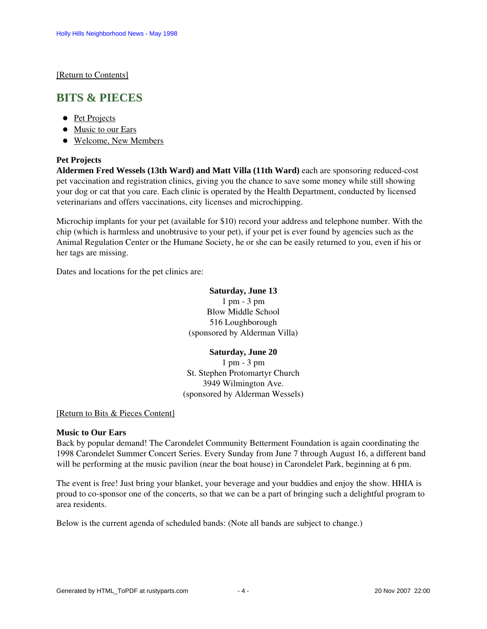[\[Return to Contents\]](#page-0-2)

# <span id="page-3-3"></span><span id="page-3-0"></span>**BITS & PIECES**

- [Pet Projects](#page-3-1)
- [Music to our Ears](#page-3-2)
- [Welcome, New Members](#page-4-0)

## <span id="page-3-1"></span>**Pet Projects**

**Aldermen Fred Wessels (13th Ward) and Matt Villa (11th Ward)** each are sponsoring reduced-cost pet vaccination and registration clinics, giving you the chance to save some money while still showing your dog or cat that you care. Each clinic is operated by the Health Department, conducted by licensed veterinarians and offers vaccinations, city licenses and microchipping.

Microchip implants for your pet (available for \$10) record your address and telephone number. With the chip (which is harmless and unobtrusive to your pet), if your pet is ever found by agencies such as the Animal Regulation Center or the Humane Society, he or she can be easily returned to you, even if his or her tags are missing.

Dates and locations for the pet clinics are:

### **Saturday, June 13**

1 pm - 3 pm Blow Middle School 516 Loughborough (sponsored by Alderman Villa)

# **Saturday, June 20**

1 pm - 3 pm St. Stephen Protomartyr Church 3949 Wilmington Ave. (sponsored by Alderman Wessels)

### [\[Return to Bits & Pieces Content\]](#page-3-3)

### <span id="page-3-2"></span>**Music to Our Ears**

Back by popular demand! The Carondelet Community Betterment Foundation is again coordinating the 1998 Carondelet Summer Concert Series. Every Sunday from June 7 through August 16, a different band will be performing at the music pavilion (near the boat house) in Carondelet Park, beginning at 6 pm.

The event is free! Just bring your blanket, your beverage and your buddies and enjoy the show. HHIA is proud to co-sponsor one of the concerts, so that we can be a part of bringing such a delightful program to area residents.

Below is the current agenda of scheduled bands: (Note all bands are subject to change.)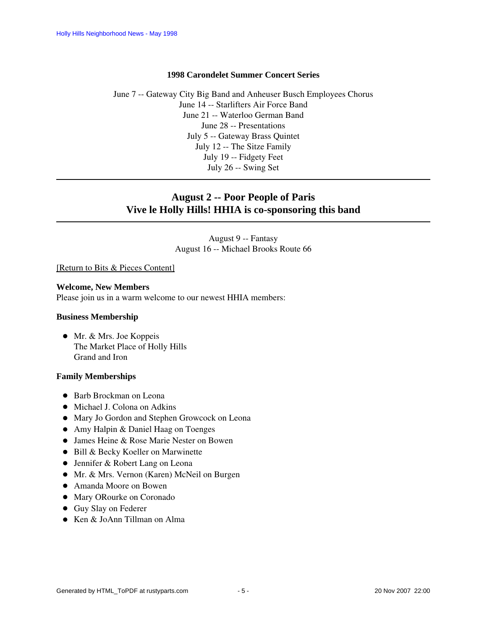#### **1998 Carondelet Summer Concert Series**

June 7 -- Gateway City Big Band and Anheuser Busch Employees Chorus June 14 -- Starlifters Air Force Band June 21 -- Waterloo German Band June 28 -- Presentations July 5 -- Gateway Brass Quintet July 12 -- The Sitze Family July 19 -- Fidgety Feet July 26 -- Swing Set

## **August 2 -- Poor People of Paris Vive le Holly Hills! HHIA is co-sponsoring this band**

August 9 -- Fantasy August 16 -- Michael Brooks Route 66

[\[Return to Bits & Pieces Content\]](#page-3-3)

#### <span id="page-4-0"></span>**Welcome, New Members**

Please join us in a warm welcome to our newest HHIA members:

#### **Business Membership**

• Mr. & Mrs. Joe Koppeis The Market Place of Holly Hills Grand and Iron

#### **Family Memberships**

- Barb Brockman on Leona
- $\bullet$  Michael J. Colona on Adkins
- Mary Jo Gordon and Stephen Growcock on Leona
- Amy Halpin & Daniel Haag on Toenges
- James Heine & Rose Marie Nester on Bowen
- Bill & Becky Koeller on Marwinette
- Jennifer & Robert Lang on Leona
- Mr. & Mrs. Vernon (Karen) McNeil on Burgen
- Amanda Moore on Bowen
- Mary ORourke on Coronado
- Guy Slay on Federer
- Ken & JoAnn Tillman on Alma